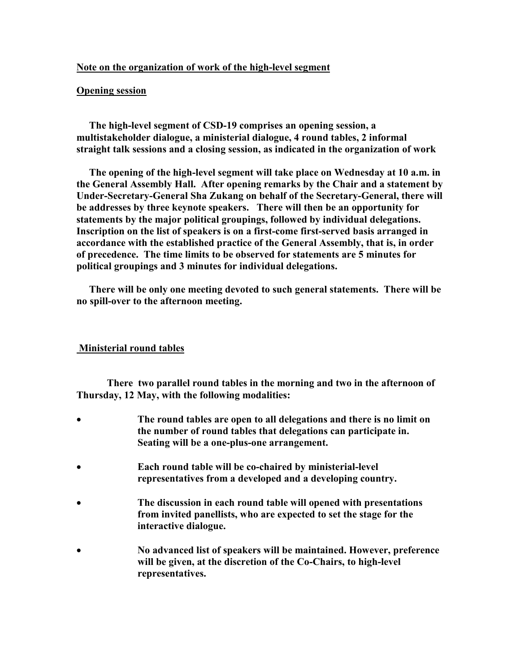# **Note on the organization of work of the high-level segment**

### **Opening session**

 **The high-level segment of CSD-19 comprises an opening session, a multistakeholder dialogue, a ministerial dialogue, 4 round tables, 2 informal straight talk sessions and a closing session, as indicated in the organization of work** 

 **The opening of the high-level segment will take place on Wednesday at 10 a.m. in the General Assembly Hall. After opening remarks by the Chair and a statement by Under-Secretary-General Sha Zukang on behalf of the Secretary-General, there will be addresses by three keynote speakers. There will then be an opportunity for statements by the major political groupings, followed by individual delegations. Inscription on the list of speakers is on a first-come first-served basis arranged in accordance with the established practice of the General Assembly, that is, in order of precedence. The time limits to be observed for statements are 5 minutes for political groupings and 3 minutes for individual delegations.** 

 **There will be only one meeting devoted to such general statements. There will be no spill-over to the afternoon meeting.** 

# **Ministerial round tables**

 **There two parallel round tables in the morning and two in the afternoon of Thursday, 12 May, with the following modalities:** 

- **The round tables are open to all delegations and there is no limit on the number of round tables that delegations can participate in. Seating will be a one-plus-one arrangement.**
- **Each round table will be co-chaired by ministerial-level representatives from a developed and a developing country.**
- **The discussion in each round table will opened with presentations from invited panellists, who are expected to set the stage for the interactive dialogue.**
- **No advanced list of speakers will be maintained. However, preference will be given, at the discretion of the Co-Chairs, to high-level representatives.**